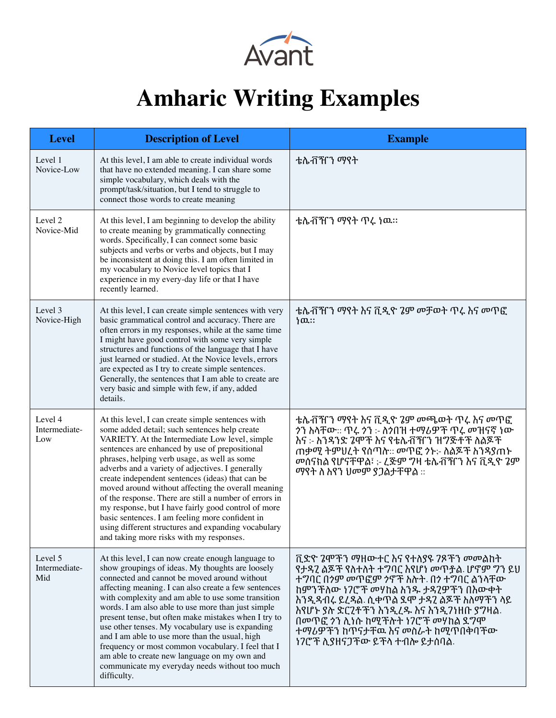

## **Amharic Writing Examples**

| <b>Level</b>                    | <b>Description of Level</b>                                                                                                                                                                                                                                                                                                                                                                                                                                                                                                                                                                                                                                                                 | <b>Example</b>                                                                                                                                                                                                                                                                                                                                  |
|---------------------------------|---------------------------------------------------------------------------------------------------------------------------------------------------------------------------------------------------------------------------------------------------------------------------------------------------------------------------------------------------------------------------------------------------------------------------------------------------------------------------------------------------------------------------------------------------------------------------------------------------------------------------------------------------------------------------------------------|-------------------------------------------------------------------------------------------------------------------------------------------------------------------------------------------------------------------------------------------------------------------------------------------------------------------------------------------------|
| Level 1<br>Novice-Low           | At this level, I am able to create individual words<br>that have no extended meaning. I can share some<br>simple vocabulary, which deals with the<br>prompt/task/situation, but I tend to struggle to<br>connect those words to create meaning                                                                                                                                                                                                                                                                                                                                                                                                                                              | ቴሌቭዠን ማየት                                                                                                                                                                                                                                                                                                                                       |
| Level 2<br>Novice-Mid           | At this level, I am beginning to develop the ability<br>to create meaning by grammatically connecting<br>words. Specifically, I can connect some basic<br>subjects and verbs or verbs and objects, but I may<br>be inconsistent at doing this. I am often limited in<br>my vocabulary to Novice level topics that I<br>experience in my every-day life or that I have<br>recently learned.                                                                                                                                                                                                                                                                                                  | ቴሌቭዠን ማየት ጥሩ ነዉ።                                                                                                                                                                                                                                                                                                                                |
| Level 3<br>Novice-High          | At this level, I can create simple sentences with very<br>basic grammatical control and accuracy. There are<br>often errors in my responses, while at the same time<br>I might have good control with some very simple<br>structures and functions of the language that I have<br>just learned or studied. At the Novice levels, errors<br>are expected as I try to create simple sentences.<br>Generally, the sentences that I am able to create are<br>very basic and simple with few, if any, added<br>details.                                                                                                                                                                          | ቴሌቭዠን ማየት እና ቪዲዮ 7ም መቻወት ጥረ እና መጥፎ<br>ነዉ።                                                                                                                                                                                                                                                                                                       |
| Level 4<br>Intermediate-<br>Low | At this level, I can create simple sentences with<br>some added detail; such sentences help create<br>VARIETY. At the Intermediate Low level, simple<br>sentences are enhanced by use of prepositional<br>phrases, helping verb usage, as well as some<br>adverbs and a variety of adjectives. I generally<br>create independent sentences (ideas) that can be<br>moved around without affecting the overall meaning<br>of the response. There are still a number of errors in<br>my response, but I have fairly good control of more<br>basic sentences. I am feeling more confident in<br>using different structures and expanding vocabulary<br>and taking more risks with my responses. | ቴሌቭዠን ማየት እና ቪዲዮ 2ም መጫወት ጥሩ እና መጥፎ<br>ንን ስላቸው:: ጥሩ ንን :- ስንበዝ ተማሪዎች ጥሩ መዝናኛ ነው<br>እና :- እንዳንድ 7ሞች እና የቴሌቭዥን ዝግጅቶች ለልጆች<br>ጠቃሚ ትምሀረት የሰጣስ። መጥፎ ንኑ፦ ስልጆች ስንዳያጠኑ<br>መሰናክል የሆናቸዋል፣ :- ረጅም ግዛ ቴሌቭዥን እና ቪዲዮ ንም<br>ማየት ስ እየን ሀመም ያጋልታቸዋል ።                                                                                                             |
| Level 5<br>Intermediate-<br>Mid | At this level, I can now create enough language to<br>show groupings of ideas. My thoughts are loosely<br>connected and cannot be moved around without<br>affecting meaning. I can also create a few sentences<br>with complexity and am able to use some transition<br>words. I am also able to use more than just simple<br>present tense, but often make mistakes when I try to<br>use other tenses. My vocabulary use is expanding<br>and I am able to use more than the usual, high<br>frequency or most common vocabulary. I feel that I<br>am able to create new language on my own and<br>communicate my everyday needs without too much<br>difficulty.                             | ቪድዮ 7ሞቾን ማዘውተር እና የተለያዩ 7ጾቾን መመልከት<br>የታዳ2 ልጆች የስተስት ተግባር እየሆነ መጥቶል ሆኖም ግን ይሀ<br>ተግባር በንም መጥፎም ንኖች እስት. በን ተግባር ልንላቸው<br>ከምንቾለው ነ7ሮቾ መሃከል አንዱ ታዳ2ዎቾን በእውቀት<br>ስንዲዳብሩ ይረዳል ሲቀጥል ደሞ ታዳ2 ልጆቸ ስስማቸን ላይ<br>እየሆኑ ያስ ድር2ቶችን እንዲረዱ እና እንዲንነዘቡ ያንዛል.<br>በመጥፎ ንን ሊነሱ ከሚችስት ነ7ሮች መሃከል ደግሞ<br>ተማሪዎችን ከጥናታቸዉ እና መስራት ከሚጥበቅባቸው<br>ነ7ሮች ሊያዘናጋቸው ይቸላ ተብሎ ይታሰባል. |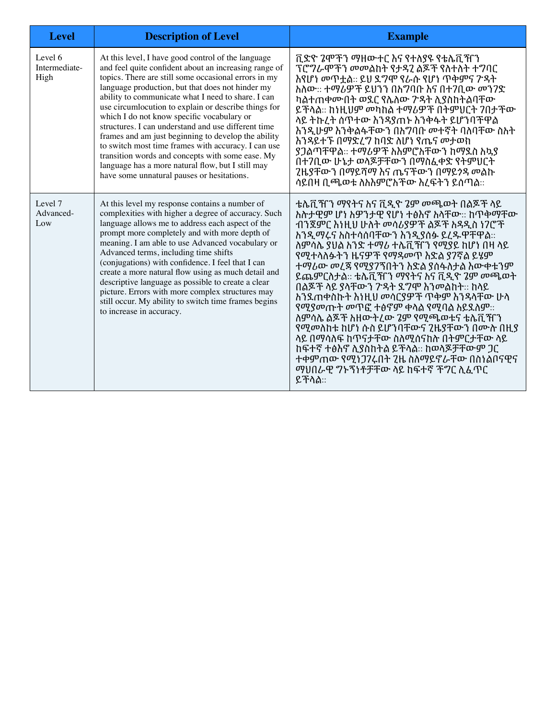| <b>Level</b>                     | <b>Description of Level</b>                                                                                                                                                                                                                                                                                                                                                                                                                                                                                                                                                                                                                                                                                     | <b>Example</b>                                                                                                                                                                                                                                                                                                                                                                                                                                                                                                                                                                                                                                                                    |
|----------------------------------|-----------------------------------------------------------------------------------------------------------------------------------------------------------------------------------------------------------------------------------------------------------------------------------------------------------------------------------------------------------------------------------------------------------------------------------------------------------------------------------------------------------------------------------------------------------------------------------------------------------------------------------------------------------------------------------------------------------------|-----------------------------------------------------------------------------------------------------------------------------------------------------------------------------------------------------------------------------------------------------------------------------------------------------------------------------------------------------------------------------------------------------------------------------------------------------------------------------------------------------------------------------------------------------------------------------------------------------------------------------------------------------------------------------------|
| Level 6<br>Intermediate-<br>High | At this level, I have good control of the language<br>and feel quite confident about an increasing range of<br>topics. There are still some occasional errors in my<br>language production, but that does not hinder my<br>ability to communicate what I need to share. I can<br>use circumlocution to explain or describe things for<br>which I do not know specific vocabulary or<br>structures. I can understand and use different time<br>frames and am just beginning to develop the ability<br>to switch most time frames with accuracy. I can use<br>transition words and concepts with some ease. My<br>language has a more natural flow, but I still may<br>have some unnatural pauses or hesitations. | ቪድዮ 2ሞችን ማዘውተር እና የተለያዩ የቴሌቪዥን<br>ፕሮግራሞችን መመልከት የታዳ2 ልጆች የስተስት ተግባር<br>እየሆነ መጥቷል:: ይሀ ደግሞ የራሱ የሆነ ጥቅምና ፖዳት<br>አለው:: ተማሪዎች ይህንን በእንባቡ እና በተ7ቢው መን7ድ<br>ካልተጠቀሙበት ወደር የሌለው ፖዳት ሊያስከትልባቸው<br>ይቸላል። ከነዚህም መካከል ተማሪዎች በትምህርት 7በታቸው<br>ላይ ትኩረት ሰጥተው እንዳያጠኑ እንቅፋት ይሆንባቸዋል<br>እንዲሁም እንቅልፋቸውን በእግባቡ መተኛት ባለባቸው ስአት<br>እንዳይተኙ በማድረግ ከባድ ለሆነ የጤና መታወከ<br>ያጋልጣቸዋል:: ተማሪዎች አእምሮአቸውን ከማጿስ አኳያ<br>በተ7ቢው ሁኔታ ወላጆቻቸውን በማስፈቀድ የትምህርት<br>2ዜያቸውን በማይሻማ እና ጤናቸውን በማይንዳ መልኩ<br>ሳይበዛ ቢጫወቱ ስስስምሮስቸው ስረፍትን ይሰጣል።                                                                                                                                                                                            |
| Level 7<br>Advanced-<br>Low      | At this level my response contains a number of<br>complexities with higher a degree of accuracy. Such<br>language allows me to address each aspect of the<br>prompt more completely and with more depth of<br>meaning. I am able to use Advanced vocabulary or<br>Advanced terms, including time shifts<br>(conjugations) with confidence. I feel that I can<br>create a more natural flow using as much detail and<br>descriptive language as possible to create a clear<br>picture. Errors with more complex structures may<br>still occur. My ability to switch time frames begins<br>to increase in accuracy.                                                                                               | ቴሌቪዥን ማየትና እና ቪዲዮ 2ም መጫወት በልጆች ላይ<br>ስስታዊም ሆነ ስዎንታዊ የሆነ ተፅስኖ ስሳቸው:: ከጥቅማቸው<br>ብንጀምር እነዚህ ሁለት መሳሪያዎች ልጆች እዳዲስ ነ7ሮች<br>ስንዲማሩና አስተሳሰባቸውን ስንዲያሰፉ ይረዱዋቸዋል::<br><u> ስምሳሌ ያሀል አንድ ተማሪ ተሌቪዥን የሚያይ ከሆነ በዛ ላይ</u><br>የሚተላስፉትን ዜናዎች የማዳመጥ እድል ያ7ኛል ይሄም<br>ተማሪው መረጃ የሚያ7ኘበትን እድል ያሰፋለታል እውቀቱንም<br>ይጨምርስታል። ቴሌቪዣን ማየትና እና ቪዲዮ 2ም መጫወት<br>በልጆቸ ላይ ያላቸውን ፖዳት ደግሞ እንመልከት። ከላይ<br>ስንደጠቀሰኩት ስነዚህ መሳርያዎች ጥቅም ስንዳሳቸው ሁሳ<br>የሚያመጡት መጥፎ ተፅኖም ቀላል የሚባል አይጿለም::<br>ስምሳሌ ልጆቸ ስዘውትረው 7ም የሚጫወቱና ቴሌቪዥን<br>የሚመስከቱ ከሆነ ሱስ ይሆንባቸውና 2ዜያቸውን በሙስ በዚያ<br>ላይ በማሳለፍ ከጥናታቸው ስለሚሰናከስ በትምርታቸው ላይ<br>ከፍተኛ ተፅእኖ ሊያስከትል ይቸላል። ከወላጆቻቸውም ጋር<br>ተቀምጠው የሚነጋንረበት 2ዜ ስስማይኖራቸው በስነልቦናዊና<br>ማህበራዊ ግኑኝነቶቻቸው ላይ ከፍተኛ ቾግር ለፈጥር<br>ይችላል። |